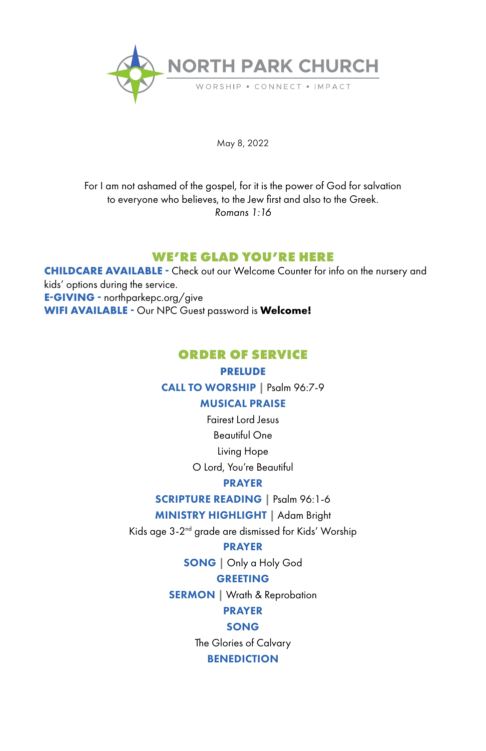

May 8, 2022

For I am not ashamed of the gospel, for it is the power of God for salvation to everyone who believes, to the Jew first and also to the Greek. *Romans 1:16*

# **WE'RE GLAD YOU'RE HERE**

**CHILDCARE AVAILABLE -** Check out our Welcome Counter for info on the nursery and kids' options during the service. **E-GIVING -** northparkepc.org/give **WIFI AVAILABLE -** Our NPC Guest password is **Welcome!**

# **ORDER OF SERVICE**

### **PRELUDE**

CALL TO WORSHIP **|** Psalm 96:7-9

### MUSICAL PRAISE

Fairest Lord Jesus

Beautiful One

Living Hope

O Lord, You're Beautiful

### PRAYER

SCRIPTURE READING **|** Psalm 96:1-6

# MINISTRY HIGHLIGHT **|** Adam Bright

Kids age 3-2nd grade are dismissed for Kids' Worship

### **PRAYER**

SONG | Only a Holy God

### GREETING

SERMON | Wrath & Reprobation

# PRAYER

### SONG

The Glories of Calvary

# BENEDICTION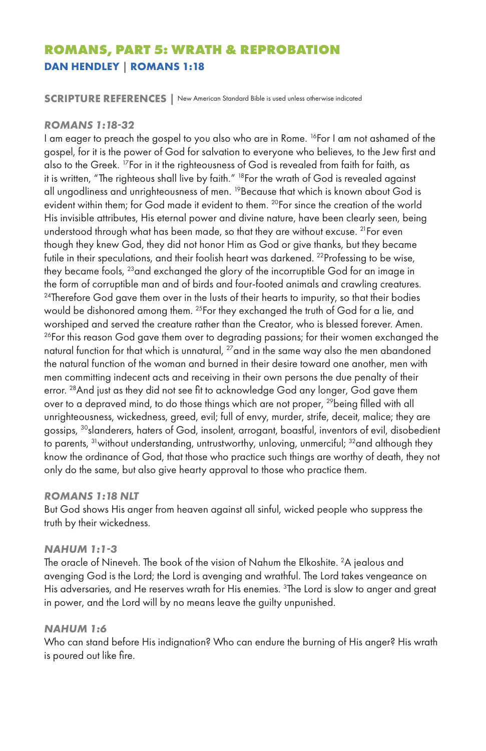# **ROMANS, PART 5: WRATH & REPROBATION DAN HENDLEY | ROMANS 1:18**

**SCRIPTURE REFERENCES |** New American Standard Bible is used unless otherwise indicated

### *ROMANS 1:18-32*

I am eager to preach the gospel to you also who are in Rome. 16For I am not ashamed of the gospel, for it is the power of God for salvation to everyone who believes, to the Jew first and also to the Greek. 17For in it the righteousness of God is revealed from faith for faith, as it is written, "The righteous shall live by faith." <sup>18</sup>For the wrath of God is revealed against all ungodliness and unrighteousness of men. <sup>19</sup> Because that which is known about God is evident within them; for God made it evident to them. <sup>20</sup>For since the creation of the world His invisible attributes, His eternal power and divine nature, have been clearly seen, being understood through what has been made, so that they are without excuse. <sup>21</sup> For even though they knew God, they did not honor Him as God or give thanks, but they became futile in their speculations, and their foolish heart was darkened. <sup>22</sup> Professing to be wise, they became fools, 23and exchanged the glory of the incorruptible God for an image in the form of corruptible man and of birds and four-footed animals and crawling creatures.  $24$ Therefore God gave them over in the lusts of their hearts to impurity, so that their bodies would be dishonored among them. <sup>25</sup>For they exchanged the truth of God for a lie, and worshiped and served the creature rather than the Creator, who is blessed forever. Amen.  $26$ For this reason God gave them over to degrading passions; for their women exchanged the natural function for that which is unnatural, <sup>27</sup>and in the same way also the men abandoned the natural function of the woman and burned in their desire toward one another, men with men committing indecent acts and receiving in their own persons the due penalty of their error. <sup>28</sup> And just as they did not see fit to acknowledge God any longer, God gave them over to a depraved mind, to do those things which are not proper, <sup>29</sup>being filled with all unrighteousness, wickedness, greed, evil; full of envy, murder, strife, deceit, malice; they are gossips, <sup>30</sup>slanderers, haters of God, insolent, arrogant, boastful, inventors of evil, disobedient to parents, <sup>31</sup> without understanding, untrustworthy, unloving, unmerciful; <sup>32</sup> and although they know the ordinance of God, that those who practice such things are worthy of death, they not only do the same, but also give hearty approval to those who practice them.

### *ROMANS 1:18 NLT*

But God shows His anger from heaven against all sinful, wicked people who suppress the truth by their wickedness.

### *NAHUM 1:1-3*

The oracle of Nineveh. The book of the vision of Nahum the Elkoshite. 2 A jealous and avenging God is the Lord; the Lord is avenging and wrathful. The Lord takes vengeance on His adversaries, and He reserves wrath for His enemies. <sup>3</sup>The Lord is slow to anger and great in power, and the Lord will by no means leave the guilty unpunished.

### *NAHUM 1:6*

Who can stand before His indignation? Who can endure the burning of His anger? His wrath is poured out like fire.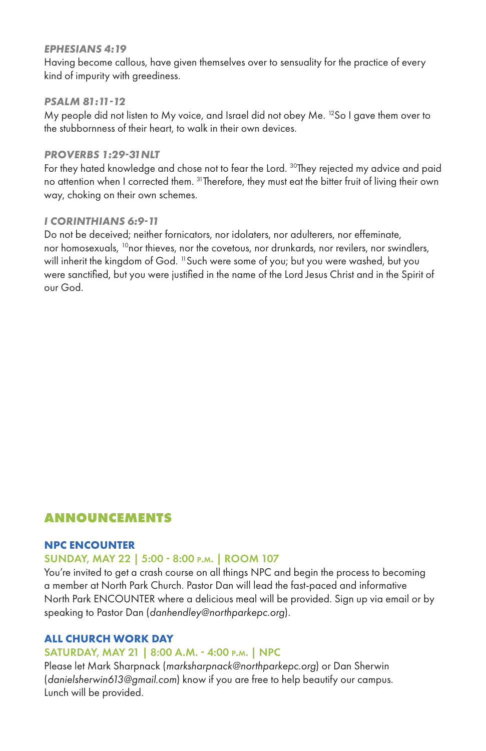### *EPHESIANS 4:19*

Having become callous, have given themselves over to sensuality for the practice of every kind of impurity with greediness.

### *PSALM 81:11-12*

My people did not listen to My voice, and Israel did not obey Me. 12So I gave them over to the stubbornness of their heart, to walk in their own devices.

### *PROVERBS 1:29-31NLT*

For they hated knowledge and chose not to fear the Lord. <sup>30</sup>They rejected my advice and paid no attention when I corrected them. <sup>31</sup>Therefore, they must eat the bitter fruit of living their own way, choking on their own schemes.

### *I CORINTHIANS 6:9-11*

Do not be deceived; neither fornicators, nor idolaters, nor adulterers, nor effeminate, nor homosexuals, <sup>10</sup>nor thieves, nor the covetous, nor drunkards, nor revilers, nor swindlers, will inherit the kingdom of God. <sup>11</sup>Such were some of you; but you were washed, but you were sanctified, but you were justified in the name of the Lord Jesus Christ and in the Spirit of our God.

# **ANNOUNCEMENTS**

### **NPC ENCOUNTER**

# SUNDAY, MAY 22 | 5:00 - 8:00 p.m. | ROOM 107

You're invited to get a crash course on all things NPC and begin the process to becoming a member at North Park Church. Pastor Dan will lead the fast-paced and informative North Park ENCOUNTER where a delicious meal will be provided. Sign up via email or by speaking to Pastor Dan (*danhendley@northparkepc.org*).

# **ALL CHURCH WORK DAY**

### SATURDAY, MAY 21 | 8:00 A.M. - 4:00 p.m. | NPC

Please let Mark Sharpnack (*marksharpnack@northparkepc.org*) or Dan Sherwin (*danielsherwin613@gmail.com*) know if you are free to help beautify our campus. Lunch will be provided.